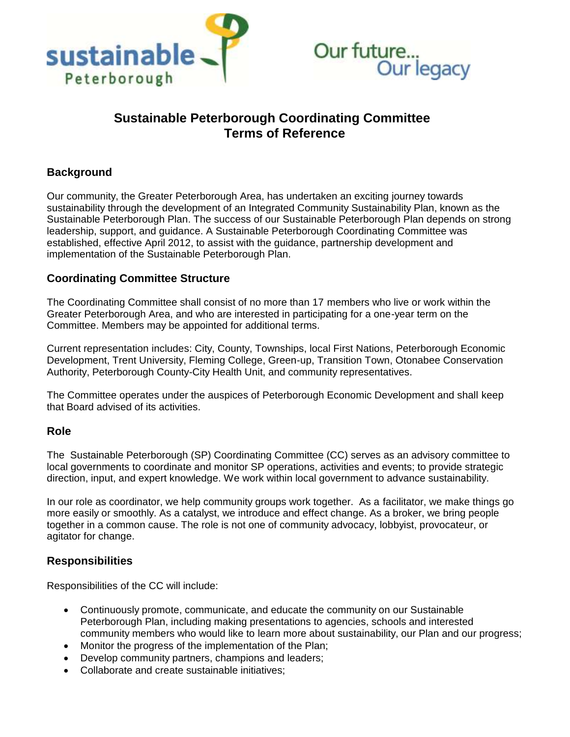



# **Sustainable Peterborough Coordinating Committee Terms of Reference**

## **Background**

Our community, the Greater Peterborough Area, has undertaken an exciting journey towards sustainability through the development of an Integrated Community Sustainability Plan, known as the Sustainable Peterborough Plan. The success of our Sustainable Peterborough Plan depends on strong leadership, support, and guidance. A Sustainable Peterborough Coordinating Committee was established, effective April 2012, to assist with the guidance, partnership development and implementation of the Sustainable Peterborough Plan.

### **Coordinating Committee Structure**

The Coordinating Committee shall consist of no more than 17 members who live or work within the Greater Peterborough Area, and who are interested in participating for a one-year term on the Committee. Members may be appointed for additional terms.

Current representation includes: City, County, Townships, local First Nations, Peterborough Economic Development, Trent University, Fleming College, Green-up, Transition Town, Otonabee Conservation Authority, Peterborough County-City Health Unit, and community representatives.

The Committee operates under the auspices of Peterborough Economic Development and shall keep that Board advised of its activities.

#### **Role**

The Sustainable Peterborough (SP) Coordinating Committee (CC) serves as an advisory committee to local governments to coordinate and monitor SP operations, activities and events; to provide strategic direction, input, and expert knowledge. We work within local government to advance sustainability.

In our role as coordinator, we help community groups work together. As a facilitator, we make things go more easily or smoothly. As a catalyst, we introduce and effect change. As a broker, we bring people together in a common cause. The role is not one of community advocacy, lobbyist, provocateur, or agitator for change.

#### **Responsibilities**

Responsibilities of the CC will include:

- Continuously promote, communicate, and educate the community on our Sustainable Peterborough Plan, including making presentations to agencies, schools and interested community members who would like to learn more about sustainability, our Plan and our progress;
- Monitor the progress of the implementation of the Plan;
- Develop community partners, champions and leaders;
- Collaborate and create sustainable initiatives;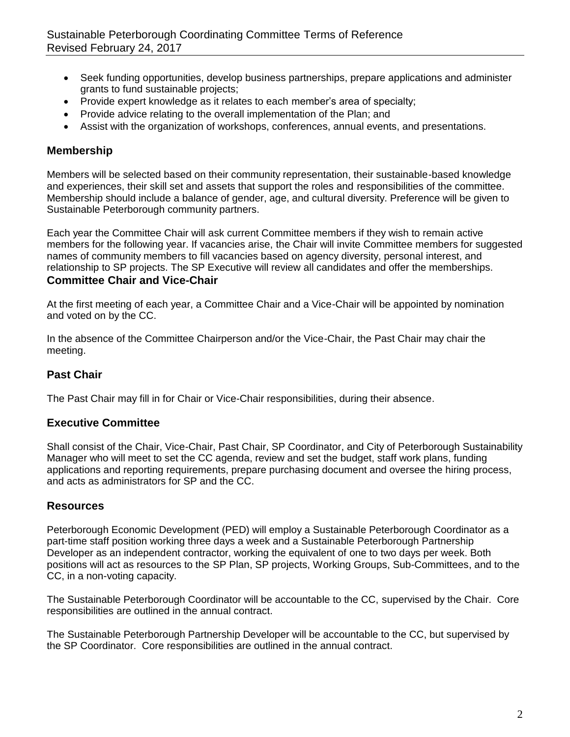- Seek funding opportunities, develop business partnerships, prepare applications and administer grants to fund sustainable projects;
- Provide expert knowledge as it relates to each member's area of specialty;
- Provide advice relating to the overall implementation of the Plan; and
- Assist with the organization of workshops, conferences, annual events, and presentations.

## **Membership**

Members will be selected based on their community representation, their sustainable-based knowledge and experiences, their skill set and assets that support the roles and responsibilities of the committee. Membership should include a balance of gender, age, and cultural diversity. Preference will be given to Sustainable Peterborough community partners.

Each year the Committee Chair will ask current Committee members if they wish to remain active members for the following year. If vacancies arise, the Chair will invite Committee members for suggested names of community members to fill vacancies based on agency diversity, personal interest, and relationship to SP projects. The SP Executive will review all candidates and offer the memberships. **Committee Chair and Vice-Chair**

At the first meeting of each year, a Committee Chair and a Vice-Chair will be appointed by nomination and voted on by the CC.

In the absence of the Committee Chairperson and/or the Vice-Chair, the Past Chair may chair the meeting.

## **Past Chair**

The Past Chair may fill in for Chair or Vice-Chair responsibilities, during their absence.

## **Executive Committee**

Shall consist of the Chair, Vice-Chair, Past Chair, SP Coordinator, and City of Peterborough Sustainability Manager who will meet to set the CC agenda, review and set the budget, staff work plans, funding applications and reporting requirements, prepare purchasing document and oversee the hiring process, and acts as administrators for SP and the CC.

### **Resources**

Peterborough Economic Development (PED) will employ a Sustainable Peterborough Coordinator as a part-time staff position working three days a week and a Sustainable Peterborough Partnership Developer as an independent contractor, working the equivalent of one to two days per week. Both positions will act as resources to the SP Plan, SP projects, Working Groups, Sub-Committees, and to the CC, in a non-voting capacity.

The Sustainable Peterborough Coordinator will be accountable to the CC, supervised by the Chair. Core responsibilities are outlined in the annual contract.

The Sustainable Peterborough Partnership Developer will be accountable to the CC, but supervised by the SP Coordinator. Core responsibilities are outlined in the annual contract.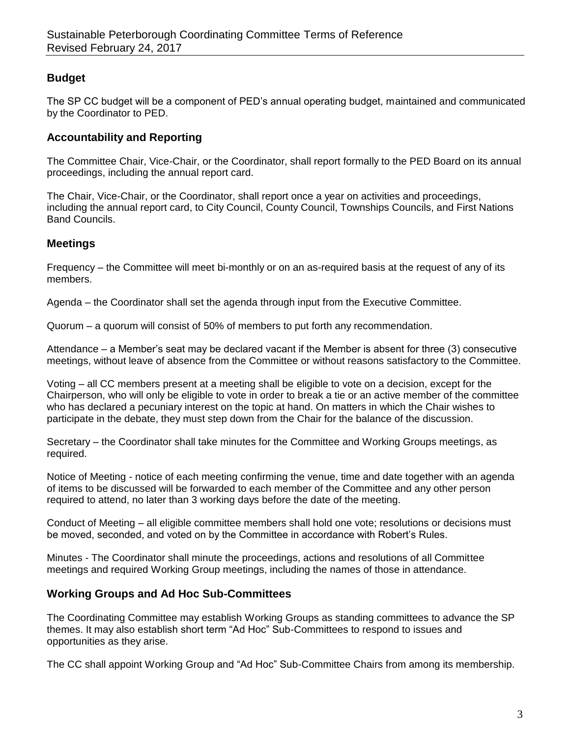## **Budget**

The SP CC budget will be a component of PED's annual operating budget, maintained and communicated by the Coordinator to PED.

### **Accountability and Reporting**

The Committee Chair, Vice-Chair, or the Coordinator, shall report formally to the PED Board on its annual proceedings, including the annual report card.

The Chair, Vice-Chair, or the Coordinator, shall report once a year on activities and proceedings, including the annual report card, to City Council, County Council, Townships Councils, and First Nations Band Councils.

### **Meetings**

Frequency – the Committee will meet bi-monthly or on an as-required basis at the request of any of its members.

Agenda – the Coordinator shall set the agenda through input from the Executive Committee.

Quorum – a quorum will consist of 50% of members to put forth any recommendation.

Attendance – a Member's seat may be declared vacant if the Member is absent for three (3) consecutive meetings, without leave of absence from the Committee or without reasons satisfactory to the Committee.

Voting – all CC members present at a meeting shall be eligible to vote on a decision, except for the Chairperson, who will only be eligible to vote in order to break a tie or an active member of the committee who has declared a pecuniary interest on the topic at hand. On matters in which the Chair wishes to participate in the debate, they must step down from the Chair for the balance of the discussion.

Secretary – the Coordinator shall take minutes for the Committee and Working Groups meetings, as required.

Notice of Meeting - notice of each meeting confirming the venue, time and date together with an agenda of items to be discussed will be forwarded to each member of the Committee and any other person required to attend, no later than 3 working days before the date of the meeting.

Conduct of Meeting – all eligible committee members shall hold one vote; resolutions or decisions must be moved, seconded, and voted on by the Committee in accordance with Robert's Rules.

Minutes - The Coordinator shall minute the proceedings, actions and resolutions of all Committee meetings and required Working Group meetings, including the names of those in attendance.

### **Working Groups and Ad Hoc Sub-Committees**

The Coordinating Committee may establish Working Groups as standing committees to advance the SP themes. It may also establish short term "Ad Hoc" Sub-Committees to respond to issues and opportunities as they arise.

The CC shall appoint Working Group and "Ad Hoc" Sub-Committee Chairs from among its membership.